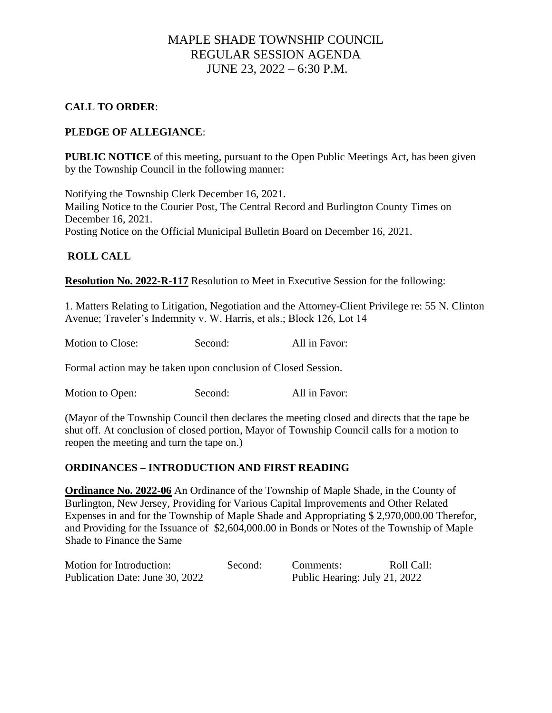# MAPLE SHADE TOWNSHIP COUNCIL REGULAR SESSION AGENDA JUNE 23, 2022 – 6:30 P.M.

## **CALL TO ORDER**:

## **PLEDGE OF ALLEGIANCE**:

**PUBLIC NOTICE** of this meeting, pursuant to the Open Public Meetings Act, has been given by the Township Council in the following manner:

Notifying the Township Clerk December 16, 2021. Mailing Notice to the Courier Post, The Central Record and Burlington County Times on December 16, 2021. Posting Notice on the Official Municipal Bulletin Board on December 16, 2021.

### **ROLL CALL**

**Resolution No. 2022-R-117** Resolution to Meet in Executive Session for the following:

1. Matters Relating to Litigation, Negotiation and the Attorney-Client Privilege re: 55 N. Clinton Avenue; Traveler's Indemnity v. W. Harris, et als.; Block 126, Lot 14

Motion to Close: Second: All in Favor:

Formal action may be taken upon conclusion of Closed Session.

Motion to Open: Second: All in Favor:

(Mayor of the Township Council then declares the meeting closed and directs that the tape be shut off. At conclusion of closed portion, Mayor of Township Council calls for a motion to reopen the meeting and turn the tape on.)

### **ORDINANCES – INTRODUCTION AND FIRST READING**

**Ordinance No. 2022-06** An Ordinance of the Township of Maple Shade, in the County of Burlington, New Jersey, Providing for Various Capital Improvements and Other Related Expenses in and for the Township of Maple Shade and Appropriating \$ 2,970,000.00 Therefor, and Providing for the Issuance of \$2,604,000.00 in Bonds or Notes of the Township of Maple Shade to Finance the Same

| Motion for Introduction:        | Second: | Comments:                     | Roll Call: |
|---------------------------------|---------|-------------------------------|------------|
| Publication Date: June 30, 2022 |         | Public Hearing: July 21, 2022 |            |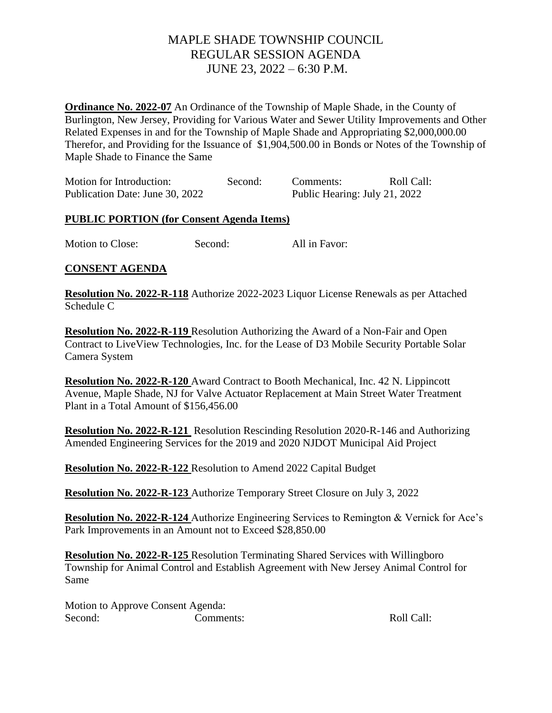# MAPLE SHADE TOWNSHIP COUNCIL REGULAR SESSION AGENDA JUNE 23, 2022 – 6:30 P.M.

**Ordinance No. 2022-07** An Ordinance of the Township of Maple Shade, in the County of Burlington, New Jersey, Providing for Various Water and Sewer Utility Improvements and Other Related Expenses in and for the Township of Maple Shade and Appropriating \$2,000,000.00 Therefor, and Providing for the Issuance of \$1,904,500.00 in Bonds or Notes of the Township of Maple Shade to Finance the Same

| Motion for Introduction:        | Second: | Comments:                     | Roll Call: |
|---------------------------------|---------|-------------------------------|------------|
| Publication Date: June 30, 2022 |         | Public Hearing: July 21, 2022 |            |

#### **PUBLIC PORTION (for Consent Agenda Items)**

Motion to Close: Second: All in Favor:

### **CONSENT AGENDA**

**Resolution No. 2022-R-118** Authorize 2022-2023 Liquor License Renewals as per Attached Schedule C

**Resolution No. 2022-R-119** Resolution Authorizing the Award of a Non-Fair and Open Contract to LiveView Technologies, Inc. for the Lease of D3 Mobile Security Portable Solar Camera System

**Resolution No. 2022-R-120** Award Contract to Booth Mechanical, Inc. 42 N. Lippincott Avenue, Maple Shade, NJ for Valve Actuator Replacement at Main Street Water Treatment Plant in a Total Amount of \$156,456.00

**Resolution No. 2022-R-121** Resolution Rescinding Resolution 2020-R-146 and Authorizing Amended Engineering Services for the 2019 and 2020 NJDOT Municipal Aid Project

**Resolution No. 2022-R-122** Resolution to Amend 2022 Capital Budget

**Resolution No. 2022-R-123** Authorize Temporary Street Closure on July 3, 2022

**Resolution No. 2022-R-124** Authorize Engineering Services to Remington & Vernick for Ace's Park Improvements in an Amount not to Exceed \$28,850.00

**Resolution No. 2022-R-125** Resolution Terminating Shared Services with Willingboro Township for Animal Control and Establish Agreement with New Jersey Animal Control for Same

Motion to Approve Consent Agenda: Second: Comments: Comments: Roll Call: